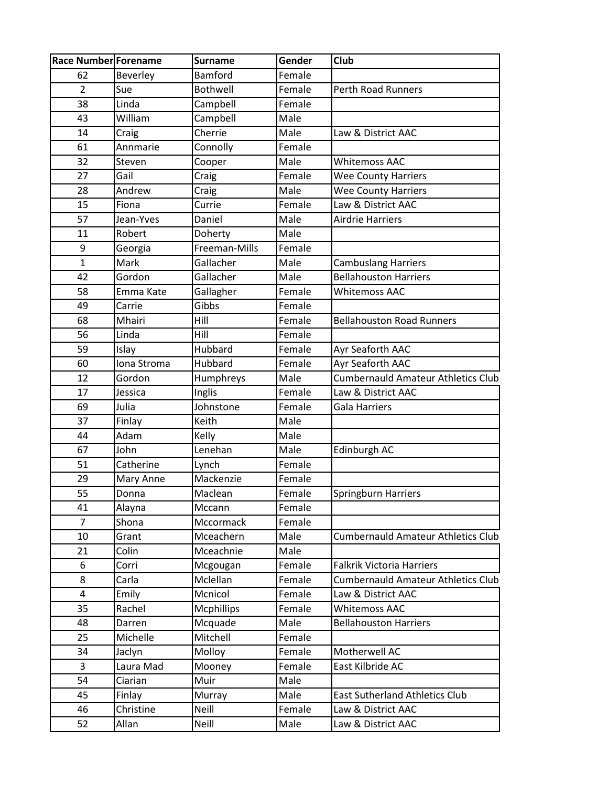| <b>Race Number Forename</b> |             | <b>Surname</b>    | Gender | Club                                      |
|-----------------------------|-------------|-------------------|--------|-------------------------------------------|
| 62                          | Beverley    | Bamford           | Female |                                           |
| $\overline{2}$              | Sue         | <b>Bothwell</b>   | Female | <b>Perth Road Runners</b>                 |
| 38                          | Linda       | Campbell          | Female |                                           |
| 43                          | William     | Campbell          | Male   |                                           |
| 14                          | Craig       | Cherrie           | Male   | Law & District AAC                        |
| 61                          | Annmarie    | Connolly          | Female |                                           |
| 32                          | Steven      | Cooper            | Male   | <b>Whitemoss AAC</b>                      |
| 27                          | Gail        | Craig             | Female | <b>Wee County Harriers</b>                |
| 28                          | Andrew      | Craig             | Male   | <b>Wee County Harriers</b>                |
| 15                          | Fiona       | Currie            | Female | Law & District AAC                        |
| 57                          | Jean-Yves   | Daniel            | Male   | <b>Airdrie Harriers</b>                   |
| 11                          | Robert      | Doherty           | Male   |                                           |
| 9                           | Georgia     | Freeman-Mills     | Female |                                           |
| $\mathbf{1}$                | Mark        | Gallacher         | Male   | <b>Cambuslang Harriers</b>                |
| 42                          | Gordon      | Gallacher         | Male   | <b>Bellahouston Harriers</b>              |
| 58                          | Emma Kate   | Gallagher         | Female | <b>Whitemoss AAC</b>                      |
| 49                          | Carrie      | Gibbs             | Female |                                           |
| 68                          | Mhairi      | Hill              | Female | <b>Bellahouston Road Runners</b>          |
| 56                          | Linda       | Hill              | Female |                                           |
| 59                          | Islay       | Hubbard           | Female | Ayr Seaforth AAC                          |
| 60                          | Iona Stroma | Hubbard           | Female | Ayr Seaforth AAC                          |
| 12                          | Gordon      | Humphreys         | Male   | <b>Cumbernauld Amateur Athletics Club</b> |
| 17                          | Jessica     | Inglis            | Female | Law & District AAC                        |
| 69                          | Julia       | Johnstone         | Female | Gala Harriers                             |
| 37                          | Finlay      | Keith             | Male   |                                           |
| 44                          | Adam        | Kelly             | Male   |                                           |
| 67                          | John        | Lenehan           | Male   | Edinburgh AC                              |
| 51                          | Catherine   | Lynch             | Female |                                           |
| 29                          | Mary Anne   | Mackenzie         | Female |                                           |
| 55                          | Donna       | Maclean           | Female | Springburn Harriers                       |
| 41                          | Alayna      | Mccann            | Female |                                           |
| $\overline{7}$              | Shona       | Mccormack         | Female |                                           |
| 10                          | Grant       | Mceachern         | Male   | <b>Cumbernauld Amateur Athletics Club</b> |
| 21                          | Colin       | Mceachnie         | Male   |                                           |
| 6                           | Corri       | Mcgougan          | Female | <b>Falkrik Victoria Harriers</b>          |
| 8                           | Carla       | Mclellan          | Female | <b>Cumbernauld Amateur Athletics Club</b> |
| 4                           | Emily       | Mcnicol           | Female | Law & District AAC                        |
| 35                          | Rachel      | <b>Mcphillips</b> | Female | <b>Whitemoss AAC</b>                      |
| 48                          | Darren      | Mcquade           | Male   | <b>Bellahouston Harriers</b>              |
| 25                          | Michelle    | Mitchell          | Female |                                           |
| 34                          | Jaclyn      | Molloy            | Female | Motherwell AC                             |
| 3                           | Laura Mad   | Mooney            | Female | East Kilbride AC                          |
| 54                          | Ciarian     | Muir              | Male   |                                           |
| 45                          | Finlay      | Murray            | Male   | <b>East Sutherland Athletics Club</b>     |
| 46                          | Christine   | Neill             | Female | Law & District AAC                        |
| 52                          | Allan       | Neill             | Male   | Law & District AAC                        |